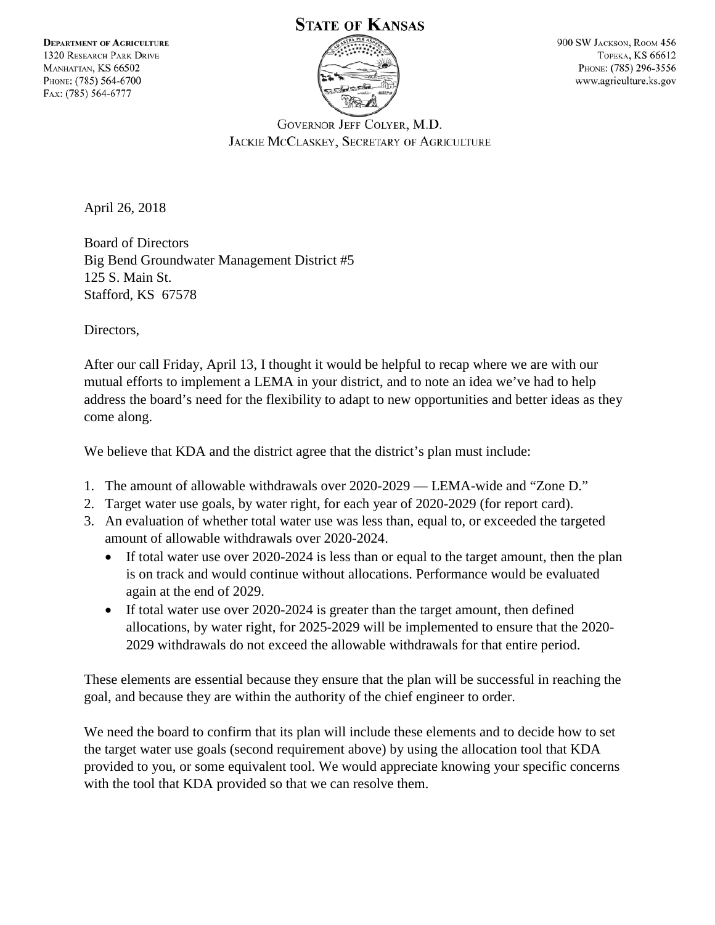## **STATE OF KANSAS**



900 SW JACKSON, ROOM 456 **TOPEKA, KS 66612** PHONE: (785) 296-3556 www.agriculture.ks.gov

GOVERNOR JEFF COLYER, M.D. JACKIE MCCLASKEY, SECRETARY OF AGRICULTURE

April 26, 2018

Board of Directors Big Bend Groundwater Management District #5 125 S. Main St. Stafford, KS 67578

Directors,

After our call Friday, April 13, I thought it would be helpful to recap where we are with our mutual efforts to implement a LEMA in your district, and to note an idea we've had to help address the board's need for the flexibility to adapt to new opportunities and better ideas as they come along.

We believe that KDA and the district agree that the district's plan must include:

- 1. The amount of allowable withdrawals over 2020-2029 LEMA-wide and "Zone D."
- 2. Target water use goals, by water right, for each year of 2020-2029 (for report card).
- 3. An evaluation of whether total water use was less than, equal to, or exceeded the targeted amount of allowable withdrawals over 2020-2024.
	- If total water use over 2020-2024 is less than or equal to the target amount, then the plan is on track and would continue without allocations. Performance would be evaluated again at the end of 2029.
	- If total water use over 2020-2024 is greater than the target amount, then defined allocations, by water right, for 2025-2029 will be implemented to ensure that the 2020- 2029 withdrawals do not exceed the allowable withdrawals for that entire period.

These elements are essential because they ensure that the plan will be successful in reaching the goal, and because they are within the authority of the chief engineer to order.

We need the board to confirm that its plan will include these elements and to decide how to set the target water use goals (second requirement above) by using the allocation tool that KDA provided to you, or some equivalent tool. We would appreciate knowing your specific concerns with the tool that KDA provided so that we can resolve them.